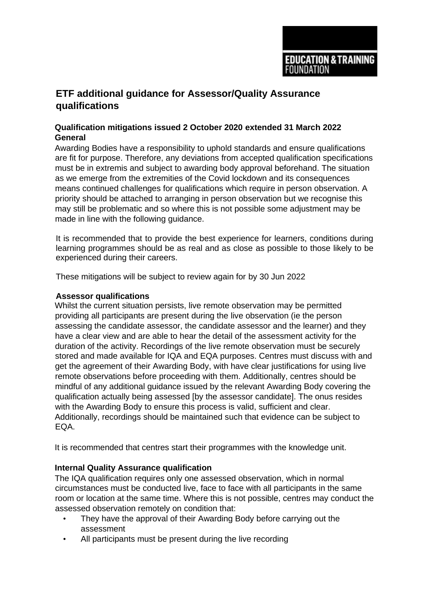

## **ETF additional guidance for Assessor/Quality Assurance qualifications**

## **Qualification mitigations issued 2 October 2020 extended 31 March 2022 General**

Awarding Bodies have a responsibility to uphold standards and ensure qualifications are fit for purpose. Therefore, any deviations from accepted qualification specifications must be in extremis and subject to awarding body approval beforehand. The situation as we emerge from the extremities of the Covid lockdown and its consequences means continued challenges for qualifications which require in person observation. A priority should be attached to arranging in person observation but we recognise this may still be problematic and so where this is not possible some adjustment may be made in line with the following guidance.

It is recommended that to provide the best experience for learners, conditions during learning programmes should be as real and as close as possible to those likely to be experienced during their careers.

These mitigations will be subject to review again for by 30 Jun 2022

## **Assessor qualifications**

Whilst the current situation persists, live remote observation may be permitted providing all participants are present during the live observation (ie the person assessing the candidate assessor, the candidate assessor and the learner) and they have a clear view and are able to hear the detail of the assessment activity for the duration of the activity. Recordings of the live remote observation must be securely stored and made available for IQA and EQA purposes. Centres must discuss with and get the agreement of their Awarding Body, with have clear justifications for using live remote observations before proceeding with them. Additionally, centres should be mindful of any additional guidance issued by the relevant Awarding Body covering the qualification actually being assessed [by the assessor candidate]. The onus resides with the Awarding Body to ensure this process is valid, sufficient and clear. Additionally, recordings should be maintained such that evidence can be subject to EQA.

It is recommended that centres start their programmes with the knowledge unit.

## **Internal Quality Assurance qualification**

The IQA qualification requires only one assessed observation, which in normal circumstances must be conducted live, face to face with all participants in the same room or location at the same time. Where this is not possible, centres may conduct the assessed observation remotely on condition that:

- They have the approval of their Awarding Body before carrying out the assessment
- All participants must be present during the live recording